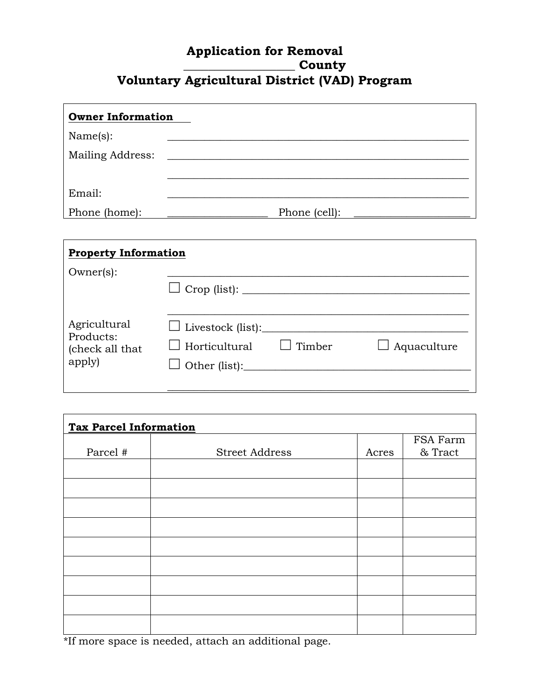## **Application for Removal \_\_\_\_\_\_\_\_\_\_\_\_\_\_\_\_\_\_ County Voluntary Agricultural District (VAD) Program**

| <b>Owner Information</b> |               |
|--------------------------|---------------|
| Name(s):                 |               |
| Mailing Address:         |               |
|                          |               |
| Email:                   |               |
| Phone (home):            | Phone (cell): |

| <b>Property Information</b>                            |                                                  |               |                    |  |
|--------------------------------------------------------|--------------------------------------------------|---------------|--------------------|--|
| $Owner(s)$ :                                           |                                                  |               |                    |  |
| Agricultural<br>Products:<br>(check all that<br>apply) | $\Box$ Livestock (list):<br>$\Box$ Horticultural | $\Box$ Timber | $\Box$ Aquaculture |  |

| <b>Tax Parcel Information</b> |                       |       |          |  |
|-------------------------------|-----------------------|-------|----------|--|
|                               |                       |       | FSA Farm |  |
| Parcel #                      | <b>Street Address</b> | Acres | & Tract  |  |
|                               |                       |       |          |  |
|                               |                       |       |          |  |
|                               |                       |       |          |  |
|                               |                       |       |          |  |
|                               |                       |       |          |  |
|                               |                       |       |          |  |
|                               |                       |       |          |  |
|                               |                       |       |          |  |
|                               |                       |       |          |  |

\*If more space is needed, attach an additional page.